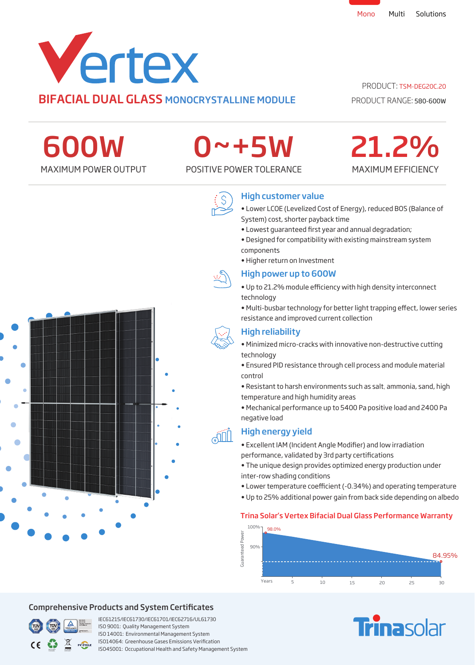

### PRODUCT: TSM-DEG20C.20

PRODUCT RANGE: 580-600W

MAXIMUM EFFICIENCY

21.2%

600W

# 0~+5W

MAXIMUM POWER OUTPUT POSITIVE POWER TOLERANCE



# High customer value

- Lower LCOE (Levelized Cost of Energy), reduced BOS (Balance of System) cost, shorter payback time
- Lowest quaranteed first year and annual degradation;
- Designed for compatibility with existing mainstream system components
- Higher return on Investment

### High power up to 600W

- Up to 21.2% module efficiency with high density interconnect technology
- Multi-busbar technology for better light trapping effect, lower series resistance and improved current collection

# High reliability

- Minimized micro-cracks with innovative non-destructive cutting technology
- Ensured PID resistance through cell process and module material control
- Resistant to harsh environments such as salt, ammonia, sand, high temperature and high humidity areas
- Mechanical performance up to 5400 Pa positive load and 2400 Pa negative load

# High energy yield

- Excellent IAM (Incident Angle Modifier) and low irradiation performance, validated by 3rd party certifications
- The unique design provides optimized energy production under inter-row shading conditions
- Lower temperature coefficient (-0.34%) and operating temperature
- Up to 25% additional power gain from back side depending on albedo

## Trina Solar's Vertex Bifacial Dual Glass Performance Warranty



# **Finasolar**



# Comprehensive Products and System Certificates



IEC61215/IEC61730/IEC61701/IEC62716/UL61730 ISO 9001: Quality Management System ISO 14001: Environmental Management System ISO14064: Greenhouse Gases Emissions Verication ISO45001: Occupational Health and Safety Management System